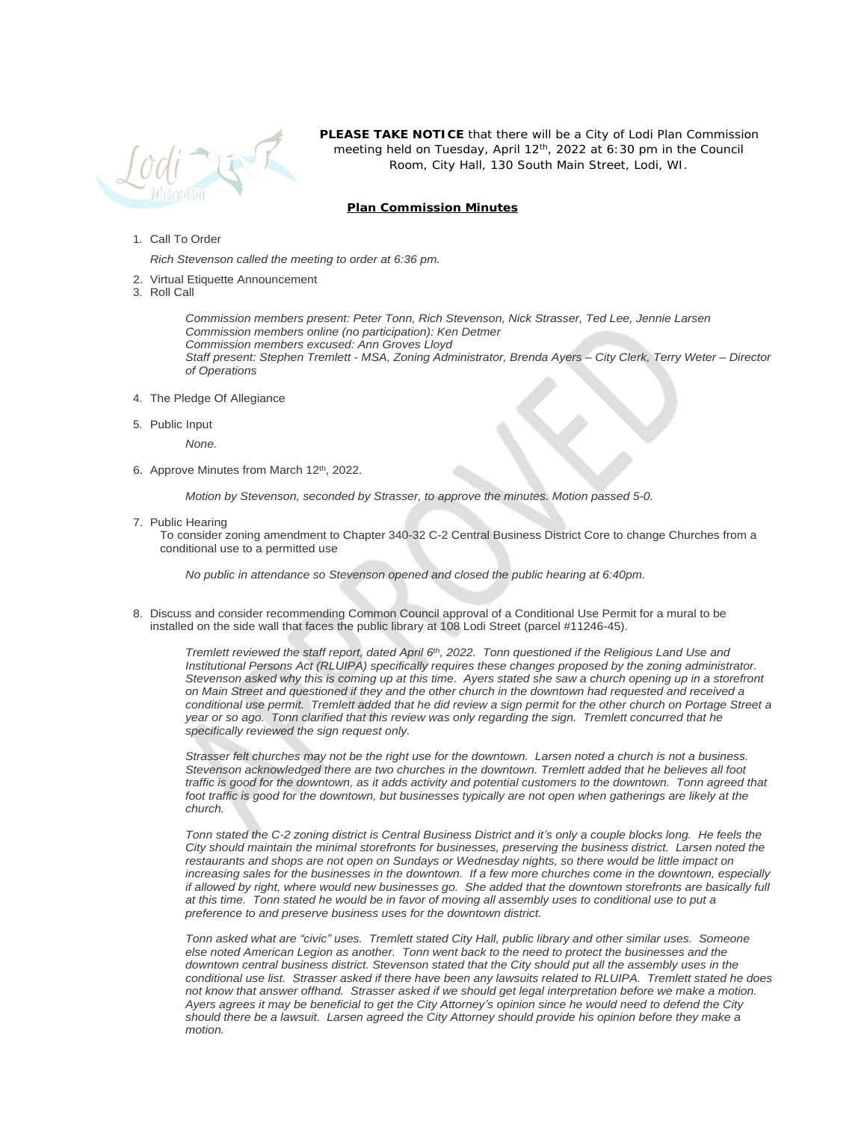

**PLEASE TAKE NOTICE** that there will be a City of Lodi Plan Commission meeting held on Tuesday, April 12<sup>th</sup>, 2022 at 6:30 pm in the Council Room, City Hall, 130 South Main Street, Lodi, WI.

## **Plan Commission Minutes**

## 1. Call To Order

*Rich Stevenson called the meeting to order at 6:36 pm.*

- 2. Virtual Etiquette Announcement
- 3. Roll Call

*Commission members present: Peter Tonn, Rich Stevenson, Nick Strasser, Ted Lee, Jennie Larsen Commission members online (no participation): Ken Detmer Commission members excused: Ann Groves Lloyd Staff present: Stephen Tremlett - MSA, Zoning Administrator, Brenda Ayers – City Clerk, Terry Weter – Director of Operations* 

- 4. The Pledge Of Allegiance
- 5. Public Input

*None.*

6. Approve Minutes from March 12<sup>th</sup>, 2022.

*Motion by Stevenson, seconded by Strasser, to approve the minutes. Motion passed 5-0.*

7. Public Hearing

To consider zoning amendment to Chapter 340-32 C-2 Central Business District Core to change Churches from a conditional use to a permitted use

*No public in attendance so Stevenson opened and closed the public hearing at 6:40pm.*

8. Discuss and consider recommending Common Council approval of a Conditional Use Permit for a mural to be installed on the side wall that faces the public library at 108 Lodi Street (parcel #11246-45).

*Tremlett reviewed the staff report, dated April 6th, 2022. Tonn questioned if the Religious Land Use and Institutional Persons Act (RLUIPA) specifically requires these changes proposed by the zoning administrator. Stevenson asked why this is coming up at this time. Ayers stated she saw a church opening up in a storefront on Main Street and questioned if they and the other church in the downtown had requested and received a conditional use permit. Tremlett added that he did review a sign permit for the other church on Portage Street a year or so ago. Tonn clarified that this review was only regarding the sign. Tremlett concurred that he specifically reviewed the sign request only.*

*Strasser felt churches may not be the right use for the downtown. Larsen noted a church is not a business. Stevenson acknowledged there are two churches in the downtown. Tremlett added that he believes all foot traffic is good for the downtown, as it adds activity and potential customers to the downtown. Tonn agreed that* foot traffic is good for the downtown, but businesses typically are not open when gatherings are likely at the *church.* 

*Tonn stated the C-2 zoning district is Central Business District and it's only a couple blocks long. He feels the City should maintain the minimal storefronts for businesses, preserving the business district. Larsen noted the restaurants and shops are not open on Sundays or Wednesday nights, so there would be little impact on increasing sales for the businesses in the downtown. If a few more churches come in the downtown, especially if allowed by right, where would new businesses go. She added that the downtown storefronts are basically full at this time. Tonn stated he would be in favor of moving all assembly uses to conditional use to put a preference to and preserve business uses for the downtown district.*

*Tonn asked what are "civic" uses. Tremlett stated City Hall, public library and other similar uses. Someone else noted American Legion as another. Tonn went back to the need to protect the businesses and the downtown central business district. Stevenson stated that the City should put all the assembly uses in the conditional use list. Strasser asked if there have been any lawsuits related to RLUIPA. Tremlett stated he does not know that answer offhand. Strasser asked if we should get legal interpretation before we make a motion. Ayers agrees it may be beneficial to get the City Attorney's opinion since he would need to defend the City should there be a lawsuit. Larsen agreed the City Attorney should provide his opinion before they make a motion.*